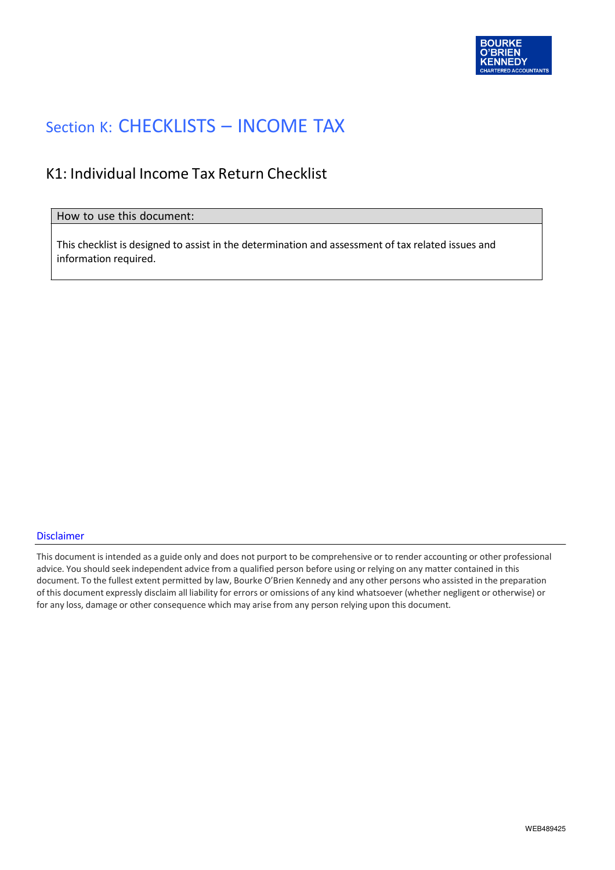

#### Section K: CHECKLISTS – INCOME TAX

#### K1: Individual Income Tax Return Checklist

#### How to use this document:

This checklist is designed to assist in the determination and assessment of tax related issues and information required.

#### Disclaimer

This document is intended as a guide only and does not purport to be comprehensive or to render accounting or other professional advice. You should seek independent advice from a qualified person before using or relying on any matter contained in this document. To the fullest extent permitted by law, Bourke O'Brien Kennedy and any other persons who assisted in the preparation of this document expressly disclaim all liability for errors or omissions of any kind whatsoever (whether negligent or otherwise) or for any loss, damage or other consequence which may arise from any person relying upon this document.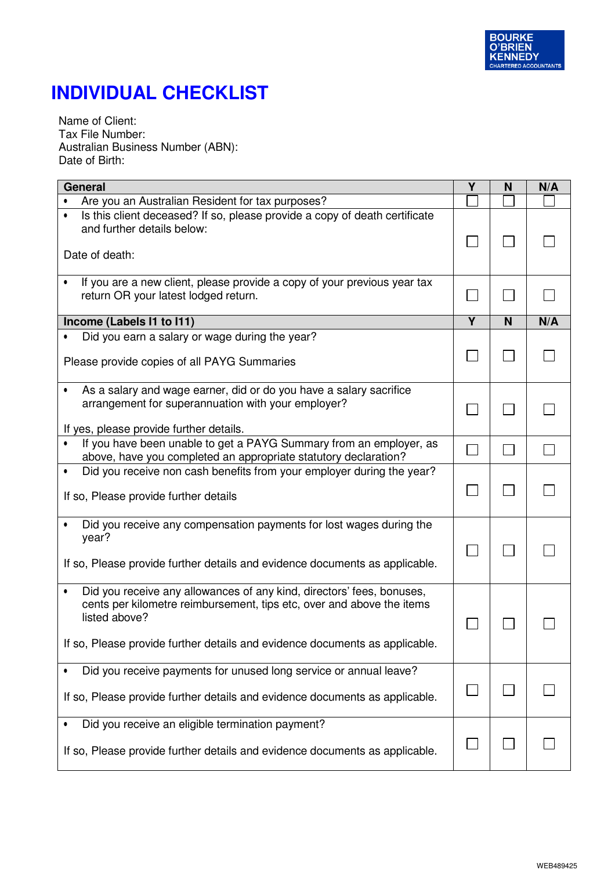

Name of Client: Tax File Number: Australian Business Number (ABN): Date of Birth:

| General                                                                                                                                                                                                                                        |   | N | N/A |
|------------------------------------------------------------------------------------------------------------------------------------------------------------------------------------------------------------------------------------------------|---|---|-----|
| Are you an Australian Resident for tax purposes?                                                                                                                                                                                               |   |   |     |
| Is this client deceased? If so, please provide a copy of death certificate<br>and further details below:<br>Date of death:                                                                                                                     |   |   |     |
| If you are a new client, please provide a copy of your previous year tax<br>return OR your latest lodged return.                                                                                                                               |   |   |     |
| Income (Labels I1 to I11)                                                                                                                                                                                                                      | γ | N | N/A |
| Did you earn a salary or wage during the year?<br>Please provide copies of all PAYG Summaries                                                                                                                                                  |   |   |     |
| As a salary and wage earner, did or do you have a salary sacrifice<br>arrangement for superannuation with your employer?<br>If yes, please provide further details.                                                                            |   |   |     |
| If you have been unable to get a PAYG Summary from an employer, as<br>above, have you completed an appropriate statutory declaration?                                                                                                          |   |   |     |
| Did you receive non cash benefits from your employer during the year?<br>٠<br>If so, Please provide further details                                                                                                                            |   |   |     |
| Did you receive any compensation payments for lost wages during the<br>year?<br>If so, Please provide further details and evidence documents as applicable.                                                                                    |   |   |     |
| Did you receive any allowances of any kind, directors' fees, bonuses,<br>cents per kilometre reimbursement, tips etc, over and above the items<br>listed above?<br>If so, Please provide further details and evidence documents as applicable. |   |   |     |
| Did you receive payments for unused long service or annual leave?<br>If so, Please provide further details and evidence documents as applicable.                                                                                               |   |   |     |
| Did you receive an eligible termination payment?<br>If so, Please provide further details and evidence documents as applicable.                                                                                                                |   |   |     |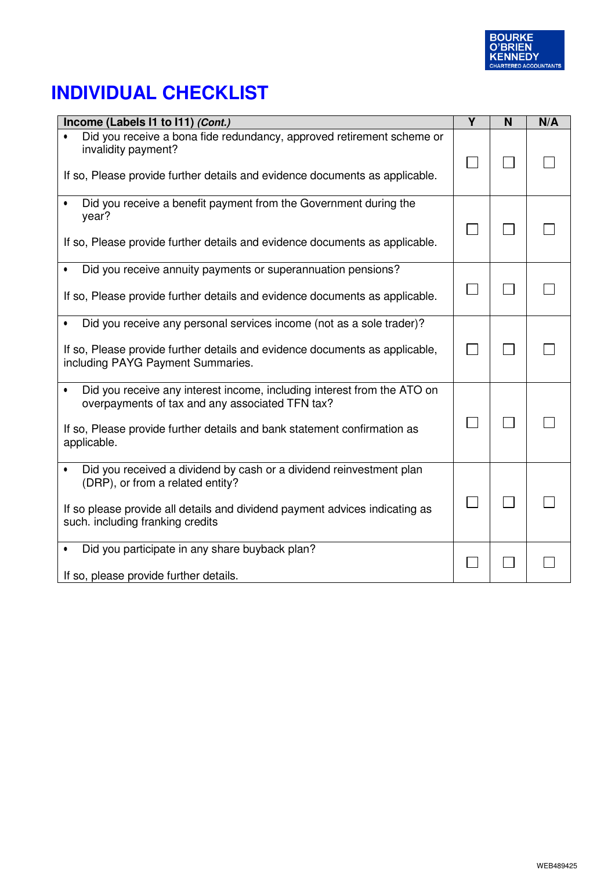

| Income (Labels I1 to I11) (Cont.)                                                                                                                                           | Y | N | N/A |
|-----------------------------------------------------------------------------------------------------------------------------------------------------------------------------|---|---|-----|
| Did you receive a bona fide redundancy, approved retirement scheme or<br>invalidity payment?<br>If so, Please provide further details and evidence documents as applicable. |   |   |     |
| Did you receive a benefit payment from the Government during the<br>year?<br>If so, Please provide further details and evidence documents as applicable.                    |   |   |     |
| Did you receive annuity payments or superannuation pensions?<br>$\bullet$                                                                                                   |   |   |     |
| If so, Please provide further details and evidence documents as applicable.                                                                                                 |   |   |     |
| Did you receive any personal services income (not as a sole trader)?                                                                                                        |   |   |     |
| If so, Please provide further details and evidence documents as applicable,<br>including PAYG Payment Summaries.                                                            |   |   |     |
| Did you receive any interest income, including interest from the ATO on<br>overpayments of tax and any associated TFN tax?                                                  |   |   |     |
| If so, Please provide further details and bank statement confirmation as<br>applicable.                                                                                     |   |   |     |
| Did you received a dividend by cash or a dividend reinvestment plan<br>$\bullet$<br>(DRP), or from a related entity?                                                        |   |   |     |
| If so please provide all details and dividend payment advices indicating as<br>such. including franking credits                                                             |   |   |     |
| Did you participate in any share buyback plan?                                                                                                                              |   |   |     |
| If so, please provide further details.                                                                                                                                      |   |   |     |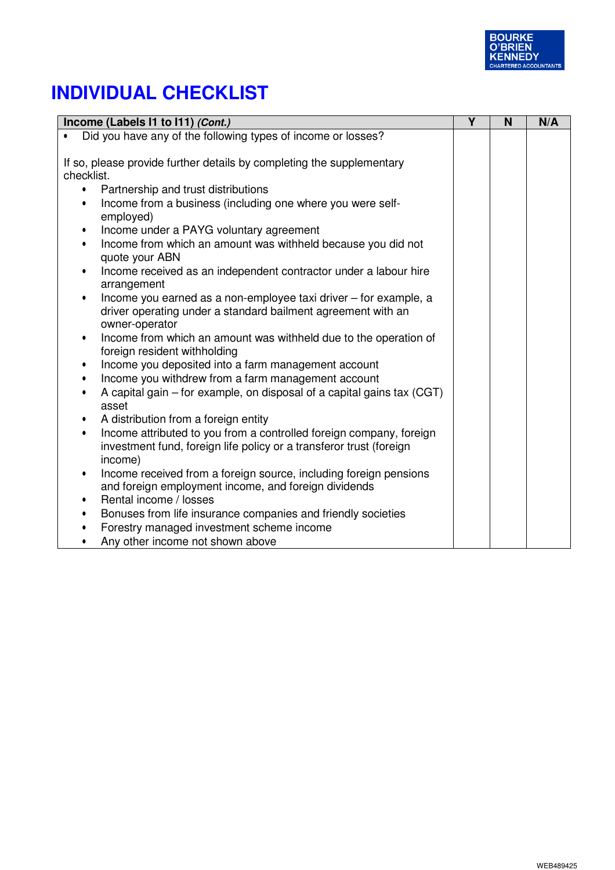

| Income (Labels I1 to I11) (Cont.)                                                                             | Y | N | N/A |
|---------------------------------------------------------------------------------------------------------------|---|---|-----|
| Did you have any of the following types of income or losses?                                                  |   |   |     |
|                                                                                                               |   |   |     |
| If so, please provide further details by completing the supplementary                                         |   |   |     |
| checklist.                                                                                                    |   |   |     |
| Partnership and trust distributions<br>$\bullet$                                                              |   |   |     |
| Income from a business (including one where you were self-<br>$\bullet$<br>employed)                          |   |   |     |
| Income under a PAYG voluntary agreement<br>$\bullet$                                                          |   |   |     |
| Income from which an amount was withheld because you did not<br>$\bullet$<br>quote your ABN                   |   |   |     |
| Income received as an independent contractor under a labour hire<br>$\bullet$<br>arrangement                  |   |   |     |
| Income you earned as a non-employee taxi driver - for example, a<br>$\bullet$                                 |   |   |     |
| driver operating under a standard bailment agreement with an<br>owner-operator                                |   |   |     |
| Income from which an amount was withheld due to the operation of<br>$\bullet$<br>foreign resident withholding |   |   |     |
| Income you deposited into a farm management account<br>$\bullet$                                              |   |   |     |
| Income you withdrew from a farm management account<br>$\bullet$                                               |   |   |     |
| A capital gain – for example, on disposal of a capital gains tax (CGT)<br>asset                               |   |   |     |
| A distribution from a foreign entity<br>$\bullet$                                                             |   |   |     |
| Income attributed to you from a controlled foreign company, foreign<br>$\bullet$                              |   |   |     |
| investment fund, foreign life policy or a transferor trust (foreign                                           |   |   |     |
| income)                                                                                                       |   |   |     |
| Income received from a foreign source, including foreign pensions<br>$\bullet$                                |   |   |     |
| and foreign employment income, and foreign dividends                                                          |   |   |     |
| Rental income / losses<br>$\bullet$                                                                           |   |   |     |
| Bonuses from life insurance companies and friendly societies<br>$\bullet$                                     |   |   |     |
| Forestry managed investment scheme income                                                                     |   |   |     |
| Any other income not shown above<br>$\bullet$                                                                 |   |   |     |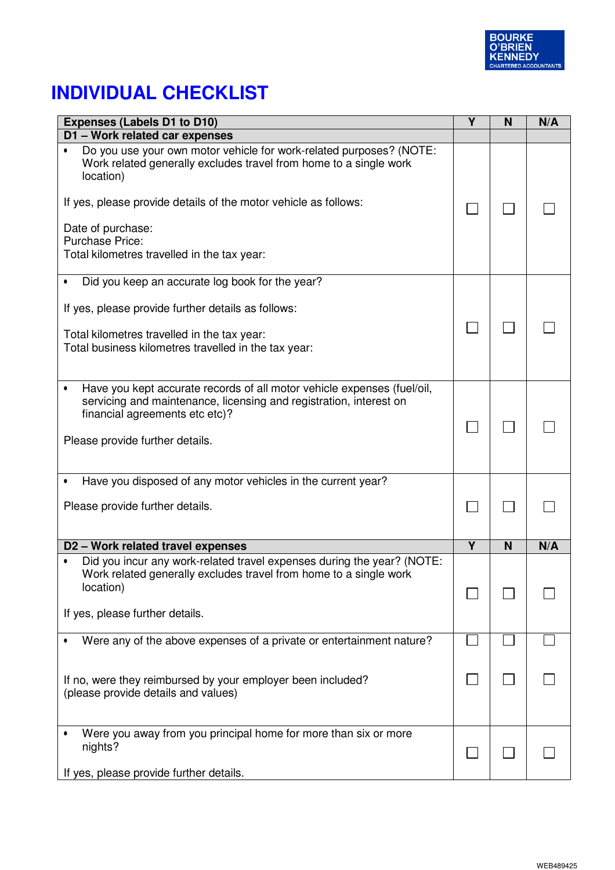

| <b>Expenses (Labels D1 to D10)</b>                                                                                                                                                                                                                                                                                     | Υ | N | N/A |
|------------------------------------------------------------------------------------------------------------------------------------------------------------------------------------------------------------------------------------------------------------------------------------------------------------------------|---|---|-----|
| D1 - Work related car expenses                                                                                                                                                                                                                                                                                         |   |   |     |
| Do you use your own motor vehicle for work-related purposes? (NOTE:<br>Work related generally excludes travel from home to a single work<br>location)<br>If yes, please provide details of the motor vehicle as follows:<br>Date of purchase:<br><b>Purchase Price:</b><br>Total kilometres travelled in the tax year: |   |   |     |
| Did you keep an accurate log book for the year?                                                                                                                                                                                                                                                                        |   |   |     |
| If yes, please provide further details as follows:<br>Total kilometres travelled in the tax year:<br>Total business kilometres travelled in the tax year:                                                                                                                                                              |   |   |     |
| Have you kept accurate records of all motor vehicle expenses (fuel/oil,<br>$\bullet$<br>servicing and maintenance, licensing and registration, interest on<br>financial agreements etc etc)?<br>Please provide further details.                                                                                        |   |   |     |
| Have you disposed of any motor vehicles in the current year?<br>٠                                                                                                                                                                                                                                                      |   |   |     |
| Please provide further details.                                                                                                                                                                                                                                                                                        |   |   |     |
| D2 - Work related travel expenses                                                                                                                                                                                                                                                                                      | Y | N | N/A |
| Did you incur any work-related travel expenses during the year? (NOTE:<br>Work related generally excludes travel from home to a single work<br>location)<br>If yes, please further details.                                                                                                                            |   |   |     |
| Were any of the above expenses of a private or entertainment nature?                                                                                                                                                                                                                                                   |   |   |     |
| If no, were they reimbursed by your employer been included?<br>(please provide details and values)                                                                                                                                                                                                                     |   |   |     |
| Were you away from you principal home for more than six or more<br>nights?<br>If yes, please provide further details.                                                                                                                                                                                                  |   |   |     |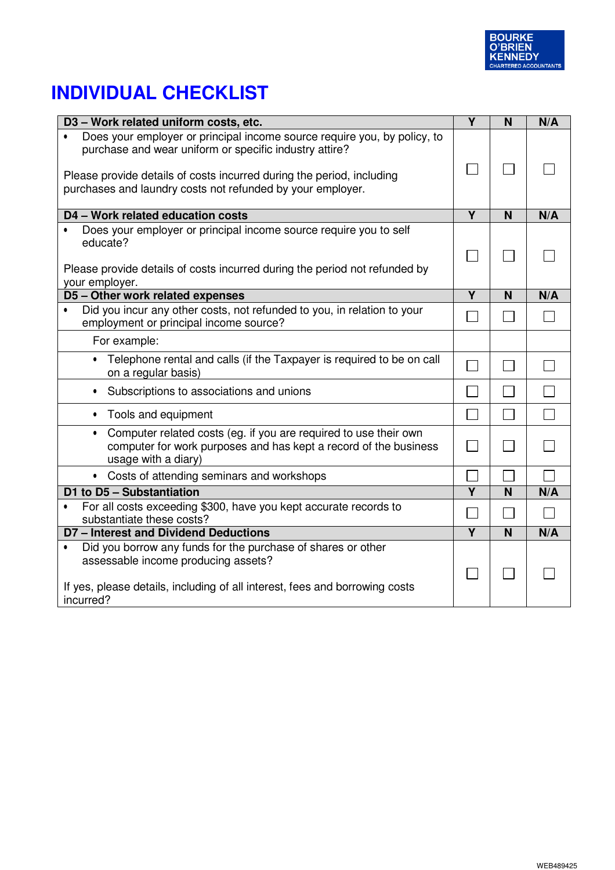

| D3 - Work related uniform costs, etc.                                                                                                                                                                                                                                                  | Y                       | N              | N/A    |
|----------------------------------------------------------------------------------------------------------------------------------------------------------------------------------------------------------------------------------------------------------------------------------------|-------------------------|----------------|--------|
| Does your employer or principal income source require you, by policy, to<br>$\bullet$<br>purchase and wear uniform or specific industry attire?<br>Please provide details of costs incurred during the period, including<br>purchases and laundry costs not refunded by your employer. |                         |                |        |
| D4 - Work related education costs                                                                                                                                                                                                                                                      | $\overline{Y}$          | N              | N/A    |
| Does your employer or principal income source require you to self<br>$\bullet$<br>educate?<br>Please provide details of costs incurred during the period not refunded by<br>your employer.                                                                                             |                         |                |        |
| D5 - Other work related expenses                                                                                                                                                                                                                                                       | Y                       | N              | N/A    |
| Did you incur any other costs, not refunded to you, in relation to your<br>$\bullet$<br>employment or principal income source?                                                                                                                                                         |                         |                |        |
| For example:                                                                                                                                                                                                                                                                           |                         |                |        |
| Telephone rental and calls (if the Taxpayer is required to be on call<br>on a regular basis)                                                                                                                                                                                           |                         | $\sim$         |        |
| Subscriptions to associations and unions<br>$\bullet$                                                                                                                                                                                                                                  |                         |                |        |
| Tools and equipment<br>$\bullet$                                                                                                                                                                                                                                                       |                         | $\Box$         | $\Box$ |
| Computer related costs (eg. if you are required to use their own<br>$\bullet$<br>computer for work purposes and has kept a record of the business<br>usage with a diary)                                                                                                               |                         | $\blacksquare$ |        |
| • Costs of attending seminars and workshops                                                                                                                                                                                                                                            |                         |                |        |
| D1 to D5 - Substantiation                                                                                                                                                                                                                                                              | $\overline{\mathsf{Y}}$ | N              | N/A    |
| For all costs exceeding \$300, have you kept accurate records to<br>$\bullet$<br>substantiate these costs?                                                                                                                                                                             |                         |                |        |
| <b>D7-Interest and Dividend Deductions</b>                                                                                                                                                                                                                                             | Y                       | N              | N/A    |
| Did you borrow any funds for the purchase of shares or other<br>$\bullet$<br>assessable income producing assets?<br>If yes, please details, including of all interest, fees and borrowing costs<br>incurred?                                                                           |                         |                |        |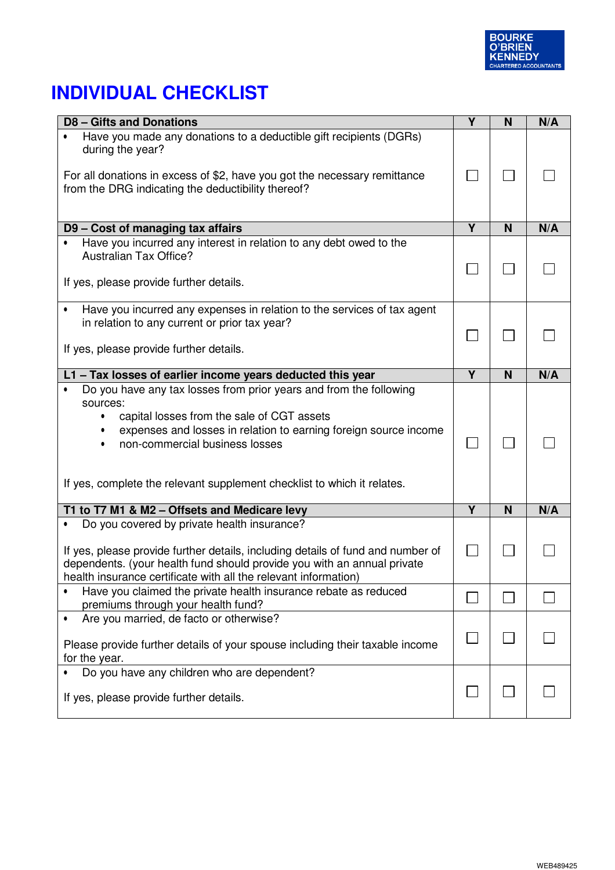

| <b>D8-Gifts and Donations</b>                                                                                                                                                                                                                                                                                              | Y                       | N | N/A |
|----------------------------------------------------------------------------------------------------------------------------------------------------------------------------------------------------------------------------------------------------------------------------------------------------------------------------|-------------------------|---|-----|
| Have you made any donations to a deductible gift recipients (DGRs)<br>during the year?                                                                                                                                                                                                                                     |                         |   |     |
| For all donations in excess of \$2, have you got the necessary remittance<br>from the DRG indicating the deductibility thereof?                                                                                                                                                                                            |                         |   |     |
|                                                                                                                                                                                                                                                                                                                            |                         |   |     |
| D9 - Cost of managing tax affairs                                                                                                                                                                                                                                                                                          | Y                       | N | N/A |
| Have you incurred any interest in relation to any debt owed to the<br><b>Australian Tax Office?</b>                                                                                                                                                                                                                        |                         |   |     |
| If yes, please provide further details.                                                                                                                                                                                                                                                                                    |                         |   |     |
| Have you incurred any expenses in relation to the services of tax agent<br>$\bullet$<br>in relation to any current or prior tax year?                                                                                                                                                                                      |                         |   |     |
| If yes, please provide further details.                                                                                                                                                                                                                                                                                    |                         |   |     |
| L1 - Tax losses of earlier income years deducted this year                                                                                                                                                                                                                                                                 | Y                       | N | N/A |
| Do you have any tax losses from prior years and from the following<br>$\bullet$<br>sources:<br>capital losses from the sale of CGT assets<br>expenses and losses in relation to earning foreign source income<br>non-commercial business losses<br>If yes, complete the relevant supplement checklist to which it relates. |                         |   |     |
| T1 to T7 M1 & M2 - Offsets and Medicare levy                                                                                                                                                                                                                                                                               | $\overline{\mathsf{Y}}$ | N | N/A |
| Do you covered by private health insurance?<br>$\bullet$<br>If yes, please provide further details, including details of fund and number of<br>dependents. (your health fund should provide you with an annual private<br>health insurance certificate with all the relevant information)                                  |                         |   |     |
| Have you claimed the private health insurance rebate as reduced<br>٠<br>premiums through your health fund?                                                                                                                                                                                                                 |                         |   |     |
| Are you married, de facto or otherwise?<br>$\bullet$<br>Please provide further details of your spouse including their taxable income<br>for the year.                                                                                                                                                                      |                         |   |     |
| Do you have any children who are dependent?                                                                                                                                                                                                                                                                                |                         |   |     |